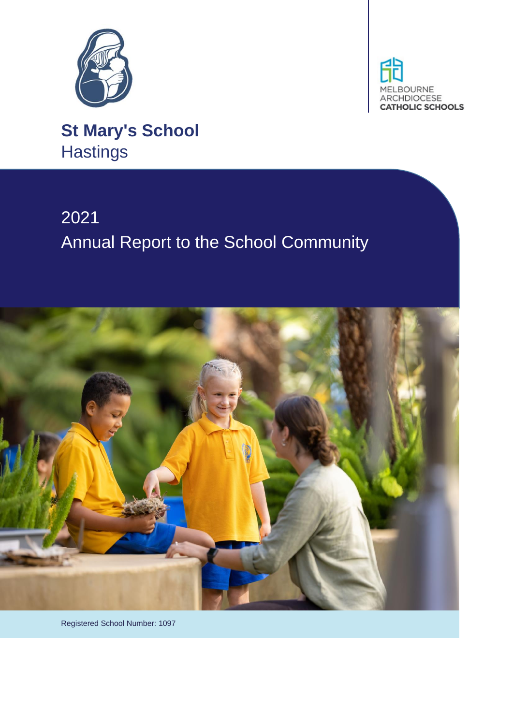



**St Mary's School Hastings** 

# 2021 Annual Report to the School Community



Registered School Number: 1097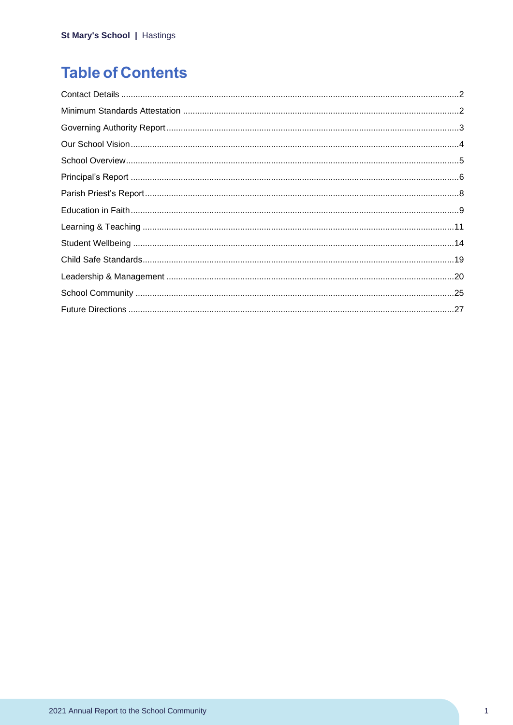## **Table of Contents**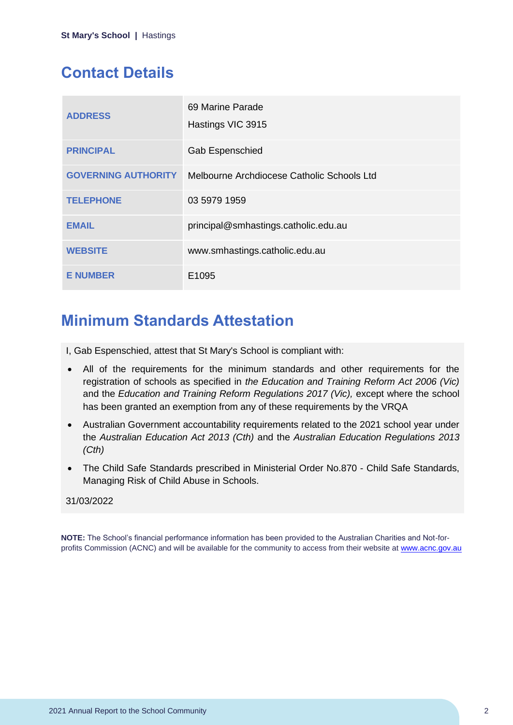## <span id="page-2-0"></span>**Contact Details**

| <b>ADDRESS</b>             | 69 Marine Parade<br>Hastings VIC 3915      |
|----------------------------|--------------------------------------------|
| <b>PRINCIPAL</b>           | <b>Gab Espenschied</b>                     |
| <b>GOVERNING AUTHORITY</b> | Melbourne Archdiocese Catholic Schools Ltd |
| <b>TELEPHONE</b>           | 03 5979 1959                               |
| <b>EMAIL</b>               | principal@smhastings.catholic.edu.au       |
| <b>WEBSITE</b>             | www.smhastings.catholic.edu.au             |
| <b>E NUMBER</b>            | E1095                                      |

## <span id="page-2-1"></span>**Minimum Standards Attestation**

I, Gab Espenschied, attest that St Mary's School is compliant with:

- All of the requirements for the minimum standards and other requirements for the registration of schools as specified in *the Education and Training Reform Act 2006 (Vic)* and the *Education and Training Reform Regulations 2017 (Vic),* except where the school has been granted an exemption from any of these requirements by the VRQA
- Australian Government accountability requirements related to the 2021 school year under the *Australian Education Act 2013 (Cth)* and the *Australian Education Regulations 2013 (Cth)*
- The Child Safe Standards prescribed in Ministerial Order No.870 Child Safe Standards, Managing Risk of Child Abuse in Schools.

### 31/03/2022

**NOTE:** The School's financial performance information has been provided to the Australian Charities and Not-forprofits Commission (ACNC) and will be available for the community to access from their website at [www.acnc.gov.au](http://www.acnc.gov.au/)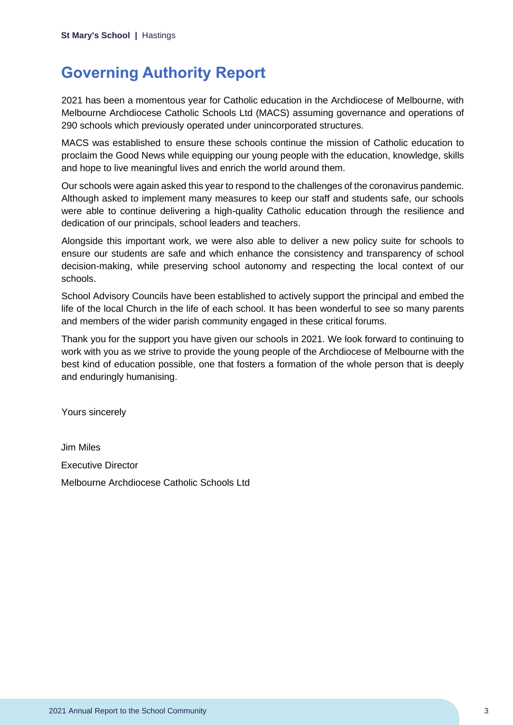## <span id="page-3-0"></span>**Governing Authority Report**

2021 has been a momentous year for Catholic education in the Archdiocese of Melbourne, with Melbourne Archdiocese Catholic Schools Ltd (MACS) assuming governance and operations of 290 schools which previously operated under unincorporated structures.

MACS was established to ensure these schools continue the mission of Catholic education to proclaim the Good News while equipping our young people with the education, knowledge, skills and hope to live meaningful lives and enrich the world around them.

Our schools were again asked this year to respond to the challenges of the coronavirus pandemic. Although asked to implement many measures to keep our staff and students safe, our schools were able to continue delivering a high-quality Catholic education through the resilience and dedication of our principals, school leaders and teachers.

Alongside this important work, we were also able to deliver a new policy suite for schools to ensure our students are safe and which enhance the consistency and transparency of school decision-making, while preserving school autonomy and respecting the local context of our schools.

School Advisory Councils have been established to actively support the principal and embed the life of the local Church in the life of each school. It has been wonderful to see so many parents and members of the wider parish community engaged in these critical forums.

Thank you for the support you have given our schools in 2021. We look forward to continuing to work with you as we strive to provide the young people of the Archdiocese of Melbourne with the best kind of education possible, one that fosters a formation of the whole person that is deeply and enduringly humanising.

Yours sincerely

Jim Miles Executive Director Melbourne Archdiocese Catholic Schools Ltd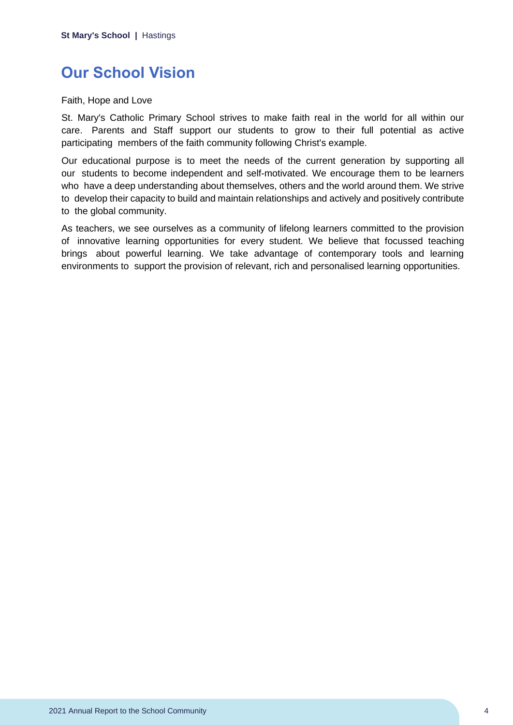## <span id="page-4-0"></span>**Our School Vision**

Faith, Hope and Love

St. Mary's Catholic Primary School strives to make faith real in the world for all within our care. Parents and Staff support our students to grow to their full potential as active participating members of the faith community following Christ's example.

Our educational purpose is to meet the needs of the current generation by supporting all our students to become independent and self-motivated. We encourage them to be learners who have a deep understanding about themselves, others and the world around them. We strive to develop their capacity to build and maintain relationships and actively and positively contribute to the global community.

As teachers, we see ourselves as a community of lifelong learners committed to the provision of innovative learning opportunities for every student. We believe that focussed teaching brings about powerful learning. We take advantage of contemporary tools and learning environments to support the provision of relevant, rich and personalised learning opportunities.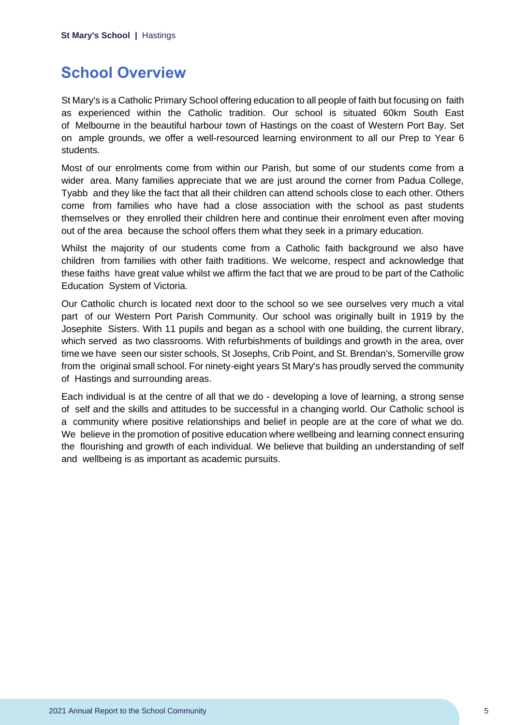## <span id="page-5-0"></span>**School Overview**

St Mary's is a Catholic Primary School offering education to all people of faith but focusing on faith as experienced within the Catholic tradition. Our school is situated 60km South East of Melbourne in the beautiful harbour town of Hastings on the coast of Western Port Bay. Set on ample grounds, we offer a well-resourced learning environment to all our Prep to Year 6 students.

Most of our enrolments come from within our Parish, but some of our students come from a wider area. Many families appreciate that we are just around the corner from Padua College, Tyabb and they like the fact that all their children can attend schools close to each other. Others come from families who have had a close association with the school as past students themselves or they enrolled their children here and continue their enrolment even after moving out of the area because the school offers them what they seek in a primary education.

Whilst the majority of our students come from a Catholic faith background we also have children from families with other faith traditions. We welcome, respect and acknowledge that these faiths have great value whilst we affirm the fact that we are proud to be part of the Catholic Education System of Victoria.

Our Catholic church is located next door to the school so we see ourselves very much a vital part of our Western Port Parish Community. Our school was originally built in 1919 by the Josephite Sisters. With 11 pupils and began as a school with one building, the current library, which served as two classrooms. With refurbishments of buildings and growth in the area, over time we have seen our sister schools, St Josephs, Crib Point, and St. Brendan's, Somerville grow from the original small school. For ninety-eight years St Mary's has proudly served the community of Hastings and surrounding areas.

Each individual is at the centre of all that we do - developing a love of learning, a strong sense of self and the skills and attitudes to be successful in a changing world. Our Catholic school is a community where positive relationships and belief in people are at the core of what we do. We believe in the promotion of positive education where wellbeing and learning connect ensuring the flourishing and growth of each individual. We believe that building an understanding of self and wellbeing is as important as academic pursuits.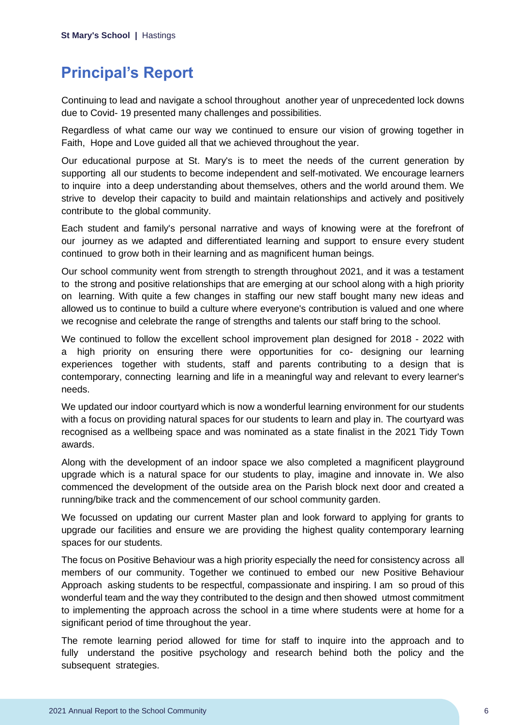## <span id="page-6-0"></span>**Principal's Report**

Continuing to lead and navigate a school throughout another year of unprecedented lock downs due to Covid- 19 presented many challenges and possibilities.

Regardless of what came our way we continued to ensure our vision of growing together in Faith, Hope and Love guided all that we achieved throughout the year.

Our educational purpose at St. Mary's is to meet the needs of the current generation by supporting all our students to become independent and self-motivated. We encourage learners to inquire into a deep understanding about themselves, others and the world around them. We strive to develop their capacity to build and maintain relationships and actively and positively contribute to the global community.

Each student and family's personal narrative and ways of knowing were at the forefront of our journey as we adapted and differentiated learning and support to ensure every student continued to grow both in their learning and as magnificent human beings.

Our school community went from strength to strength throughout 2021, and it was a testament to the strong and positive relationships that are emerging at our school along with a high priority on learning. With quite a few changes in staffing our new staff bought many new ideas and allowed us to continue to build a culture where everyone's contribution is valued and one where we recognise and celebrate the range of strengths and talents our staff bring to the school.

We continued to follow the excellent school improvement plan designed for 2018 - 2022 with a high priority on ensuring there were opportunities for co- designing our learning experiences together with students, staff and parents contributing to a design that is contemporary, connecting learning and life in a meaningful way and relevant to every learner's needs.

We updated our indoor courtyard which is now a wonderful learning environment for our students with a focus on providing natural spaces for our students to learn and play in. The courtyard was recognised as a wellbeing space and was nominated as a state finalist in the 2021 Tidy Town awards.

Along with the development of an indoor space we also completed a magnificent playground upgrade which is a natural space for our students to play, imagine and innovate in. We also commenced the development of the outside area on the Parish block next door and created a running/bike track and the commencement of our school community garden.

We focussed on updating our current Master plan and look forward to applying for grants to upgrade our facilities and ensure we are providing the highest quality contemporary learning spaces for our students.

The focus on Positive Behaviour was a high priority especially the need for consistency across all members of our community. Together we continued to embed our new Positive Behaviour Approach asking students to be respectful, compassionate and inspiring. I am so proud of this wonderful team and the way they contributed to the design and then showed utmost commitment to implementing the approach across the school in a time where students were at home for a significant period of time throughout the year.

The remote learning period allowed for time for staff to inquire into the approach and to fully understand the positive psychology and research behind both the policy and the subsequent strategies.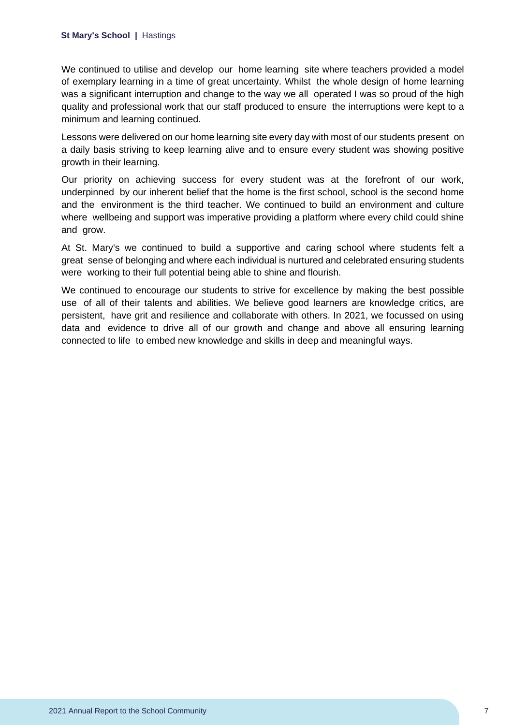#### **St Mary's School |** Hastings

We continued to utilise and develop our home learning site where teachers provided a model of exemplary learning in a time of great uncertainty. Whilst the whole design of home learning was a significant interruption and change to the way we all operated I was so proud of the high quality and professional work that our staff produced to ensure the interruptions were kept to a minimum and learning continued.

Lessons were delivered on our home learning site every day with most of our students present on a daily basis striving to keep learning alive and to ensure every student was showing positive growth in their learning.

Our priority on achieving success for every student was at the forefront of our work, underpinned by our inherent belief that the home is the first school, school is the second home and the environment is the third teacher. We continued to build an environment and culture where wellbeing and support was imperative providing a platform where every child could shine and grow.

At St. Mary's we continued to build a supportive and caring school where students felt a great sense of belonging and where each individual is nurtured and celebrated ensuring students were working to their full potential being able to shine and flourish.

We continued to encourage our students to strive for excellence by making the best possible use of all of their talents and abilities. We believe good learners are knowledge critics, are persistent, have grit and resilience and collaborate with others. In 2021, we focussed on using data and evidence to drive all of our growth and change and above all ensuring learning connected to life to embed new knowledge and skills in deep and meaningful ways.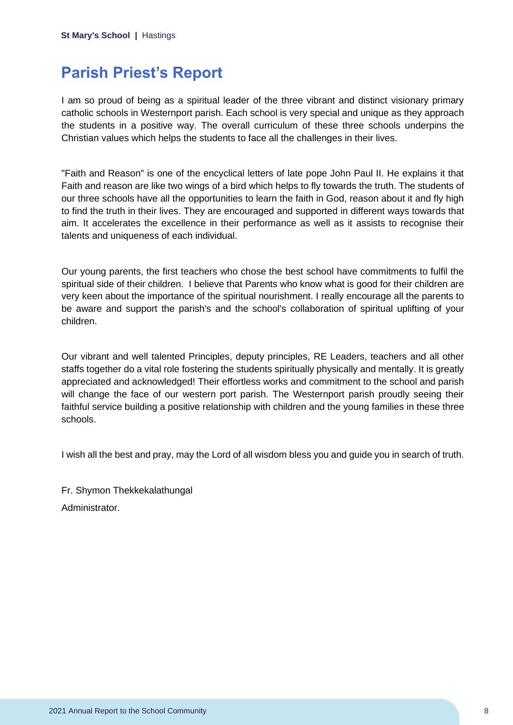## <span id="page-8-0"></span>**Parish Priest's Report**

I am so proud of being as a spiritual leader of the three vibrant and distinct visionary primary catholic schools in Westernport parish. Each school is very special and unique as they approach the students in a positive way. The overall curriculum of these three schools underpins the Christian values which helps the students to face all the challenges in their lives.

"Faith and Reason" is one of the encyclical letters of late pope John Paul II. He explains it that Faith and reason are like two wings of a bird which helps to fly towards the truth. The students of our three schools have all the opportunities to learn the faith in God, reason about it and fly high to find the truth in their lives. They are encouraged and supported in different ways towards that aim. It accelerates the excellence in their performance as well as it assists to recognise their talents and uniqueness of each individual.

Our young parents, the first teachers who chose the best school have commitments to fulfil the spiritual side of their children. I believe that Parents who know what is good for their children are very keen about the importance of the spiritual nourishment. I really encourage all the parents to be aware and support the parish's and the school's collaboration of spiritual uplifting of your children.

Our vibrant and well talented Principles, deputy principles, RE Leaders, teachers and all other staffs together do a vital role fostering the students spiritually physically and mentally. It is greatly appreciated and acknowledged! Their effortless works and commitment to the school and parish will change the face of our western port parish. The Westernport parish proudly seeing their faithful service building a positive relationship with children and the young families in these three schools.

I wish all the best and pray, may the Lord of all wisdom bless you and guide you in search of truth.

Fr. Shymon Thekkekalathungal Administrator.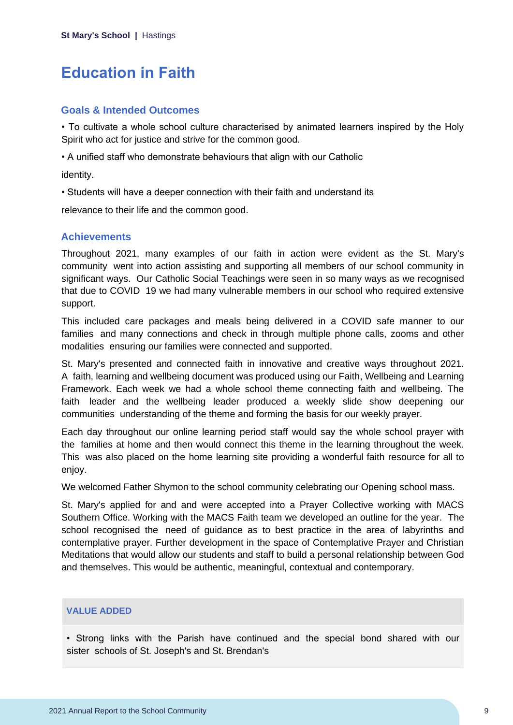## <span id="page-9-0"></span>**Education in Faith**

### **Goals & Intended Outcomes**

• To cultivate a whole school culture characterised by animated learners inspired by the Holy Spirit who act for justice and strive for the common good.

• A unified staff who demonstrate behaviours that align with our Catholic

identity.

• Students will have a deeper connection with their faith and understand its

relevance to their life and the common good.

## **Achievements**

Throughout 2021, many examples of our faith in action were evident as the St. Mary's community went into action assisting and supporting all members of our school community in significant ways. Our Catholic Social Teachings were seen in so many ways as we recognised that due to COVID 19 we had many vulnerable members in our school who required extensive support.

This included care packages and meals being delivered in a COVID safe manner to our families and many connections and check in through multiple phone calls, zooms and other modalities ensuring our families were connected and supported.

St. Mary's presented and connected faith in innovative and creative ways throughout 2021. A faith, learning and wellbeing document was produced using our Faith, Wellbeing and Learning Framework. Each week we had a whole school theme connecting faith and wellbeing. The faith leader and the wellbeing leader produced a weekly slide show deepening our communities understanding of the theme and forming the basis for our weekly prayer.

Each day throughout our online learning period staff would say the whole school prayer with the families at home and then would connect this theme in the learning throughout the week. This was also placed on the home learning site providing a wonderful faith resource for all to enjoy.

We welcomed Father Shymon to the school community celebrating our Opening school mass.

St. Mary's applied for and and were accepted into a Prayer Collective working with MACS Southern Office. Working with the MACS Faith team we developed an outline for the year. The school recognised the need of guidance as to best practice in the area of labyrinths and contemplative prayer. Further development in the space of Contemplative Prayer and Christian Meditations that would allow our students and staff to build a personal relationship between God and themselves. This would be authentic, meaningful, contextual and contemporary.

#### **VALUE ADDED**

• Strong links with the Parish have continued and the special bond shared with our sister schools of St. Joseph's and St. Brendan's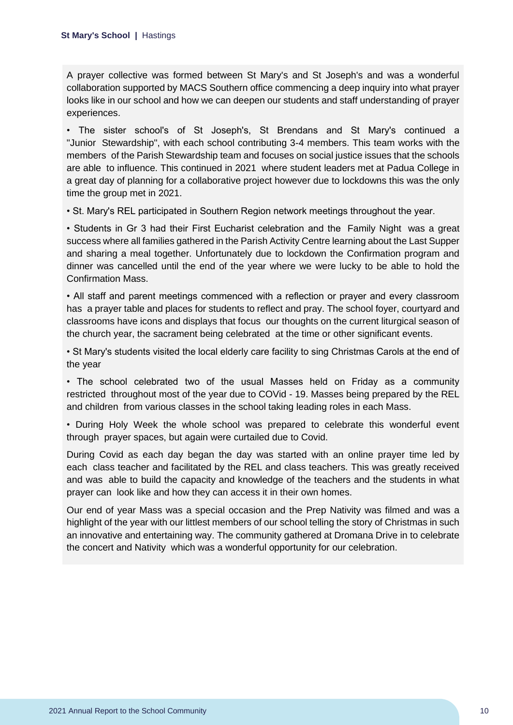A prayer collective was formed between St Mary's and St Joseph's and was a wonderful collaboration supported by MACS Southern office commencing a deep inquiry into what prayer looks like in our school and how we can deepen our students and staff understanding of prayer experiences.

• The sister school's of St Joseph's, St Brendans and St Mary's continued a "Junior Stewardship", with each school contributing 3-4 members. This team works with the members of the Parish Stewardship team and focuses on social justice issues that the schools are able to influence. This continued in 2021 where student leaders met at Padua College in a great day of planning for a collaborative project however due to lockdowns this was the only time the group met in 2021.

• St. Mary's REL participated in Southern Region network meetings throughout the year.

• Students in Gr 3 had their First Eucharist celebration and the Family Night was a great success where all families gathered in the Parish Activity Centre learning about the Last Supper and sharing a meal together. Unfortunately due to lockdown the Confirmation program and dinner was cancelled until the end of the year where we were lucky to be able to hold the Confirmation Mass.

• All staff and parent meetings commenced with a reflection or prayer and every classroom has a prayer table and places for students to reflect and pray. The school foyer, courtyard and classrooms have icons and displays that focus our thoughts on the current liturgical season of the church year, the sacrament being celebrated at the time or other significant events.

• St Mary's students visited the local elderly care facility to sing Christmas Carols at the end of the year

• The school celebrated two of the usual Masses held on Friday as a community restricted throughout most of the year due to COVid - 19. Masses being prepared by the REL and children from various classes in the school taking leading roles in each Mass.

• During Holy Week the whole school was prepared to celebrate this wonderful event through prayer spaces, but again were curtailed due to Covid.

During Covid as each day began the day was started with an online prayer time led by each class teacher and facilitated by the REL and class teachers. This was greatly received and was able to build the capacity and knowledge of the teachers and the students in what prayer can look like and how they can access it in their own homes.

Our end of year Mass was a special occasion and the Prep Nativity was filmed and was a highlight of the year with our littlest members of our school telling the story of Christmas in such an innovative and entertaining way. The community gathered at Dromana Drive in to celebrate the concert and Nativity which was a wonderful opportunity for our celebration.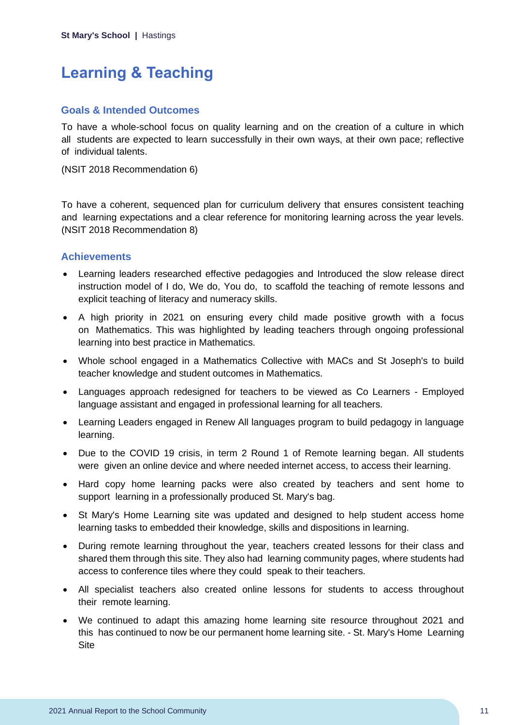## <span id="page-11-0"></span>**Learning & Teaching**

### **Goals & Intended Outcomes**

To have a whole-school focus on quality learning and on the creation of a culture in which all students are expected to learn successfully in their own ways, at their own pace; reflective of individual talents.

(NSIT 2018 Recommendation 6)

To have a coherent, sequenced plan for curriculum delivery that ensures consistent teaching and learning expectations and a clear reference for monitoring learning across the year levels. (NSIT 2018 Recommendation 8)

## **Achievements**

- Learning leaders researched effective pedagogies and Introduced the slow release direct instruction model of I do, We do, You do, to scaffold the teaching of remote lessons and explicit teaching of literacy and numeracy skills.
- A high priority in 2021 on ensuring every child made positive growth with a focus on Mathematics. This was highlighted by leading teachers through ongoing professional learning into best practice in Mathematics.
- Whole school engaged in a Mathematics Collective with MACs and St Joseph's to build teacher knowledge and student outcomes in Mathematics.
- Languages approach redesigned for teachers to be viewed as Co Learners Employed language assistant and engaged in professional learning for all teachers.
- Learning Leaders engaged in Renew All languages program to build pedagogy in language learning.
- Due to the COVID 19 crisis, in term 2 Round 1 of Remote learning began. All students were given an online device and where needed internet access, to access their learning.
- Hard copy home learning packs were also created by teachers and sent home to support learning in a professionally produced St. Mary's bag.
- St Mary's Home Learning site was updated and designed to help student access home learning tasks to embedded their knowledge, skills and dispositions in learning.
- During remote learning throughout the year, teachers created lessons for their class and shared them through this site. They also had learning community pages, where students had access to conference tiles where they could speak to their teachers.
- All specialist teachers also created online lessons for students to access throughout their remote learning.
- We continued to adapt this amazing home learning site resource throughout 2021 and this has continued to now be our permanent home learning site. - St. Mary's Home Learning **Site**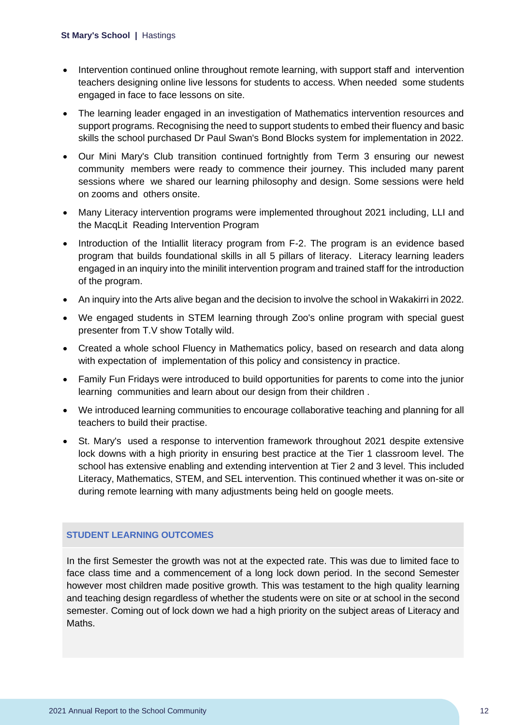- Intervention continued online throughout remote learning, with support staff and intervention teachers designing online live lessons for students to access. When needed some students engaged in face to face lessons on site.
- The learning leader engaged in an investigation of Mathematics intervention resources and support programs. Recognising the need to support students to embed their fluency and basic skills the school purchased Dr Paul Swan's Bond Blocks system for implementation in 2022.
- Our Mini Mary's Club transition continued fortnightly from Term 3 ensuring our newest community members were ready to commence their journey. This included many parent sessions where we shared our learning philosophy and design. Some sessions were held on zooms and others onsite.
- Many Literacy intervention programs were implemented throughout 2021 including, LLI and the MacqLit Reading Intervention Program
- Introduction of the Intiallit literacy program from F-2. The program is an evidence based program that builds foundational skills in all 5 pillars of literacy. Literacy learning leaders engaged in an inquiry into the minilit intervention program and trained staff for the introduction of the program.
- An inquiry into the Arts alive began and the decision to involve the school in Wakakirri in 2022.
- We engaged students in STEM learning through Zoo's online program with special guest presenter from T.V show Totally wild.
- Created a whole school Fluency in Mathematics policy, based on research and data along with expectation of implementation of this policy and consistency in practice.
- Family Fun Fridays were introduced to build opportunities for parents to come into the junior learning communities and learn about our design from their children .
- We introduced learning communities to encourage collaborative teaching and planning for all teachers to build their practise.
- St. Mary's used a response to intervention framework throughout 2021 despite extensive lock downs with a high priority in ensuring best practice at the Tier 1 classroom level. The school has extensive enabling and extending intervention at Tier 2 and 3 level. This included Literacy, Mathematics, STEM, and SEL intervention. This continued whether it was on-site or during remote learning with many adjustments being held on google meets.

### **STUDENT LEARNING OUTCOMES**

In the first Semester the growth was not at the expected rate. This was due to limited face to face class time and a commencement of a long lock down period. In the second Semester however most children made positive growth. This was testament to the high quality learning and teaching design regardless of whether the students were on site or at school in the second semester. Coming out of lock down we had a high priority on the subject areas of Literacy and Maths.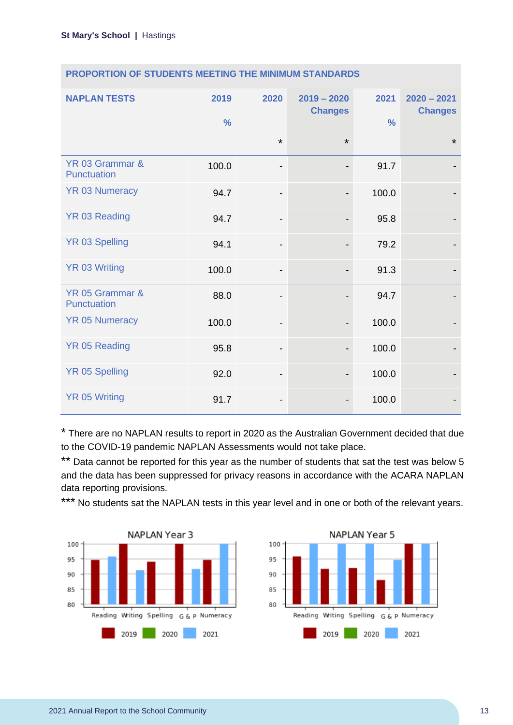| <b>NAPLAN TESTS</b>            | 2019<br>$\frac{0}{0}$ | 2020                         | $2019 - 2020$<br><b>Changes</b> | 2021<br>$\frac{0}{0}$ | $2020 - 2021$<br><b>Changes</b> |
|--------------------------------|-----------------------|------------------------------|---------------------------------|-----------------------|---------------------------------|
|                                |                       | $\star$                      | $\star$                         |                       | $\star$                         |
| YR 03 Grammar &<br>Punctuation | 100.0                 | -                            |                                 | 91.7                  |                                 |
| <b>YR 03 Numeracy</b>          | 94.7                  | $\qquad \qquad \blacksquare$ |                                 | 100.0                 |                                 |
| <b>YR 03 Reading</b>           | 94.7                  | $\qquad \qquad \blacksquare$ |                                 | 95.8                  |                                 |
| <b>YR 03 Spelling</b>          | 94.1                  | $\qquad \qquad \blacksquare$ |                                 | 79.2                  |                                 |
| <b>YR 03 Writing</b>           | 100.0                 | -                            |                                 | 91.3                  |                                 |
| YR 05 Grammar &<br>Punctuation | 88.0                  | $\overline{a}$               |                                 | 94.7                  |                                 |
| <b>YR 05 Numeracy</b>          | 100.0                 | -                            |                                 | 100.0                 |                                 |
| <b>YR 05 Reading</b>           | 95.8                  | $\qquad \qquad \blacksquare$ |                                 | 100.0                 |                                 |
| <b>YR 05 Spelling</b>          | 92.0                  | -                            |                                 | 100.0                 |                                 |
| <b>YR 05 Writing</b>           | 91.7                  | -                            |                                 | 100.0                 |                                 |

### **PROPORTION OF STUDENTS MEETING THE MINIMUM STANDARDS**

\* There are no NAPLAN results to report in 2020 as the Australian Government decided that due to the COVID-19 pandemic NAPLAN Assessments would not take place.

\*\* Data cannot be reported for this year as the number of students that sat the test was below 5 and the data has been suppressed for privacy reasons in accordance with the ACARA NAPLAN data reporting provisions.

\*\*\* No students sat the NAPLAN tests in this year level and in one or both of the relevant years.



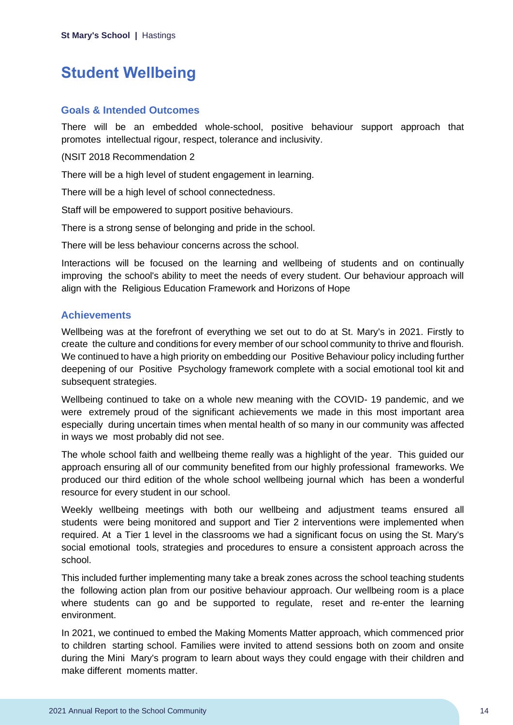## <span id="page-14-0"></span>**Student Wellbeing**

### **Goals & Intended Outcomes**

There will be an embedded whole-school, positive behaviour support approach that promotes intellectual rigour, respect, tolerance and inclusivity.

### (NSIT 2018 Recommendation 2

There will be a high level of student engagement in learning.

There will be a high level of school connectedness.

Staff will be empowered to support positive behaviours.

There is a strong sense of belonging and pride in the school.

There will be less behaviour concerns across the school.

Interactions will be focused on the learning and wellbeing of students and on continually improving the school's ability to meet the needs of every student. Our behaviour approach will align with the Religious Education Framework and Horizons of Hope

## **Achievements**

Wellbeing was at the forefront of everything we set out to do at St. Mary's in 2021. Firstly to create the culture and conditions for every member of our school community to thrive and flourish. We continued to have a high priority on embedding our Positive Behaviour policy including further deepening of our Positive Psychology framework complete with a social emotional tool kit and subsequent strategies.

Wellbeing continued to take on a whole new meaning with the COVID- 19 pandemic, and we were extremely proud of the significant achievements we made in this most important area especially during uncertain times when mental health of so many in our community was affected in ways we most probably did not see.

The whole school faith and wellbeing theme really was a highlight of the year. This guided our approach ensuring all of our community benefited from our highly professional frameworks. We produced our third edition of the whole school wellbeing journal which has been a wonderful resource for every student in our school.

Weekly wellbeing meetings with both our wellbeing and adjustment teams ensured all students were being monitored and support and Tier 2 interventions were implemented when required. At a Tier 1 level in the classrooms we had a significant focus on using the St. Mary's social emotional tools, strategies and procedures to ensure a consistent approach across the school.

This included further implementing many take a break zones across the school teaching students the following action plan from our positive behaviour approach. Our wellbeing room is a place where students can go and be supported to regulate, reset and re-enter the learning environment.

In 2021, we continued to embed the Making Moments Matter approach, which commenced prior to children starting school. Families were invited to attend sessions both on zoom and onsite during the Mini Mary's program to learn about ways they could engage with their children and make different moments matter.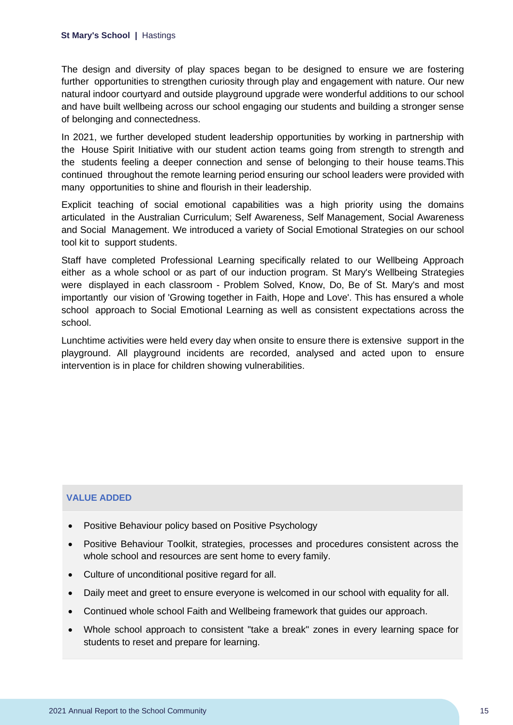#### **St Mary's School |** Hastings

The design and diversity of play spaces began to be designed to ensure we are fostering further opportunities to strengthen curiosity through play and engagement with nature. Our new natural indoor courtyard and outside playground upgrade were wonderful additions to our school and have built wellbeing across our school engaging our students and building a stronger sense of belonging and connectedness.

In 2021, we further developed student leadership opportunities by working in partnership with the House Spirit Initiative with our student action teams going from strength to strength and the students feeling a deeper connection and sense of belonging to their house teams.This continued throughout the remote learning period ensuring our school leaders were provided with many opportunities to shine and flourish in their leadership.

Explicit teaching of social emotional capabilities was a high priority using the domains articulated in the Australian Curriculum; Self Awareness, Self Management, Social Awareness and Social Management. We introduced a variety of Social Emotional Strategies on our school tool kit to support students.

Staff have completed Professional Learning specifically related to our Wellbeing Approach either as a whole school or as part of our induction program. St Mary's Wellbeing Strategies were displayed in each classroom - Problem Solved, Know, Do, Be of St. Mary's and most importantly our vision of 'Growing together in Faith, Hope and Love'. This has ensured a whole school approach to Social Emotional Learning as well as consistent expectations across the school.

Lunchtime activities were held every day when onsite to ensure there is extensive support in the playground. All playground incidents are recorded, analysed and acted upon to ensure intervention is in place for children showing vulnerabilities.

### **VALUE ADDED**

- Positive Behaviour policy based on Positive Psychology
- Positive Behaviour Toolkit, strategies, processes and procedures consistent across the whole school and resources are sent home to every family.
- Culture of unconditional positive regard for all.
- Daily meet and greet to ensure everyone is welcomed in our school with equality for all.
- Continued whole school Faith and Wellbeing framework that guides our approach.
- Whole school approach to consistent "take a break" zones in every learning space for students to reset and prepare for learning.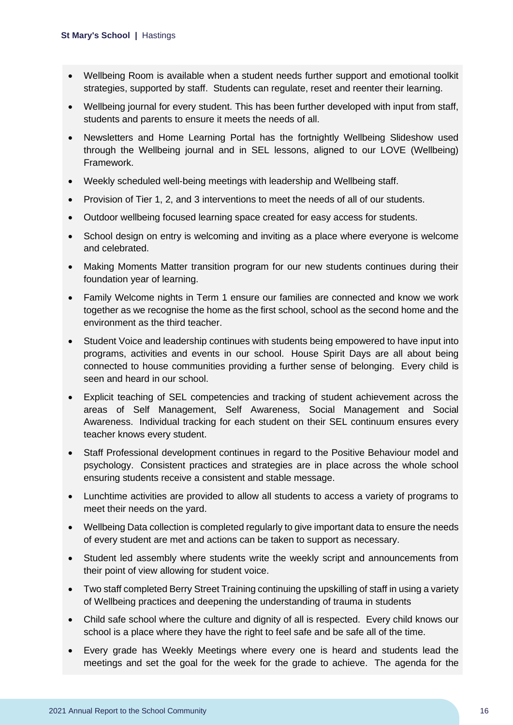- Wellbeing Room is available when a student needs further support and emotional toolkit strategies, supported by staff. Students can regulate, reset and reenter their learning.
- Wellbeing journal for every student. This has been further developed with input from staff, students and parents to ensure it meets the needs of all.
- Newsletters and Home Learning Portal has the fortnightly Wellbeing Slideshow used through the Wellbeing journal and in SEL lessons, aligned to our LOVE (Wellbeing) Framework.
- Weekly scheduled well-being meetings with leadership and Wellbeing staff.
- Provision of Tier 1, 2, and 3 interventions to meet the needs of all of our students.
- Outdoor wellbeing focused learning space created for easy access for students.
- School design on entry is welcoming and inviting as a place where everyone is welcome and celebrated.
- Making Moments Matter transition program for our new students continues during their foundation year of learning.
- Family Welcome nights in Term 1 ensure our families are connected and know we work together as we recognise the home as the first school, school as the second home and the environment as the third teacher.
- Student Voice and leadership continues with students being empowered to have input into programs, activities and events in our school. House Spirit Days are all about being connected to house communities providing a further sense of belonging. Every child is seen and heard in our school.
- Explicit teaching of SEL competencies and tracking of student achievement across the areas of Self Management, Self Awareness, Social Management and Social Awareness. Individual tracking for each student on their SEL continuum ensures every teacher knows every student.
- Staff Professional development continues in regard to the Positive Behaviour model and psychology. Consistent practices and strategies are in place across the whole school ensuring students receive a consistent and stable message.
- Lunchtime activities are provided to allow all students to access a variety of programs to meet their needs on the yard.
- Wellbeing Data collection is completed regularly to give important data to ensure the needs of every student are met and actions can be taken to support as necessary.
- Student led assembly where students write the weekly script and announcements from their point of view allowing for student voice.
- Two staff completed Berry Street Training continuing the upskilling of staff in using a variety of Wellbeing practices and deepening the understanding of trauma in students
- Child safe school where the culture and dignity of all is respected. Every child knows our school is a place where they have the right to feel safe and be safe all of the time.
- Every grade has Weekly Meetings where every one is heard and students lead the meetings and set the goal for the week for the grade to achieve. The agenda for the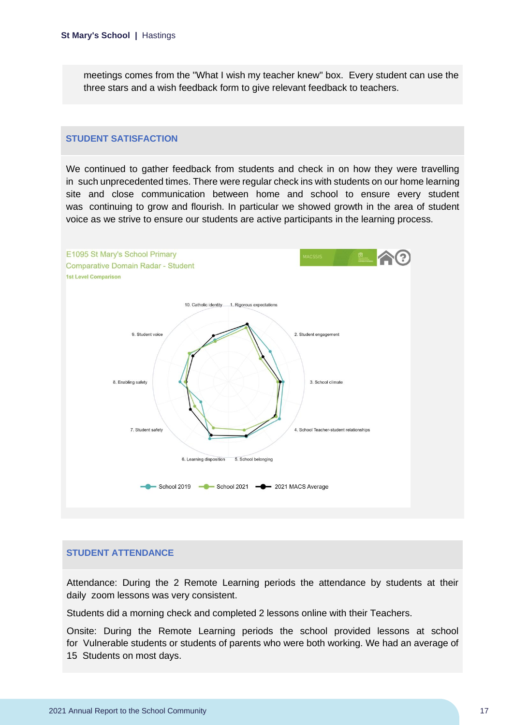meetings comes from the "What I wish my teacher knew" box. Every student can use the three stars and a wish feedback form to give relevant feedback to teachers.

#### **STUDENT SATISFACTION**

We continued to gather feedback from students and check in on how they were travelling in such unprecedented times. There were regular check ins with students on our home learning site and close communication between home and school to ensure every student was continuing to grow and flourish. In particular we showed growth in the area of student voice as we strive to ensure our students are active participants in the learning process.



#### **STUDENT ATTENDANCE**

Attendance: During the 2 Remote Learning periods the attendance by students at their daily zoom lessons was very consistent.

Students did a morning check and completed 2 lessons online with their Teachers.

Onsite: During the Remote Learning periods the school provided lessons at school for Vulnerable students or students of parents who were both working. We had an average of 15 Students on most days.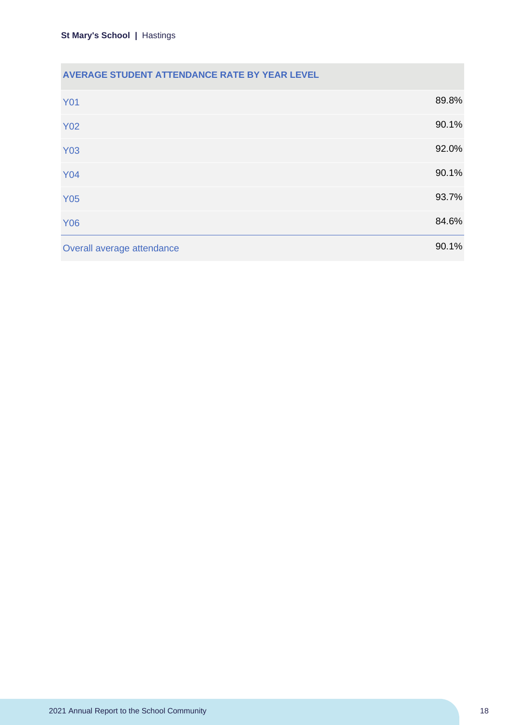## **AVERAGE STUDENT ATTENDANCE RATE BY YEAR LEVEL**

| <b>Y01</b>                 | 89.8% |
|----------------------------|-------|
| <b>Y02</b>                 | 90.1% |
| <b>Y03</b>                 | 92.0% |
| <b>Y04</b>                 | 90.1% |
| <b>Y05</b>                 | 93.7% |
| <b>Y06</b>                 | 84.6% |
| Overall average attendance | 90.1% |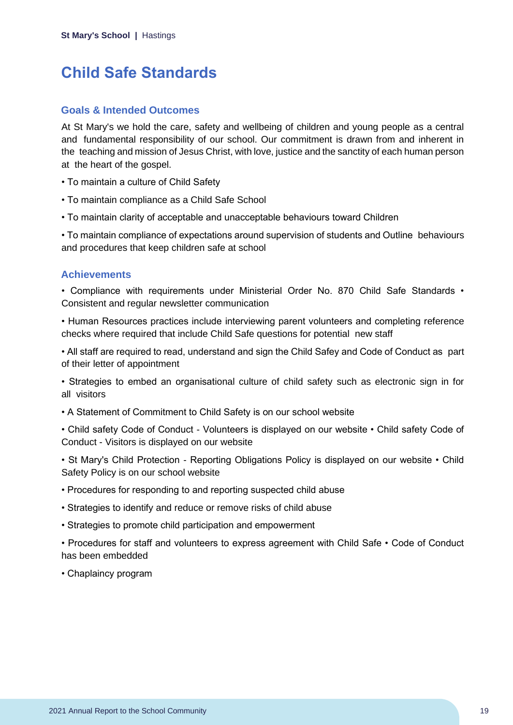## <span id="page-19-0"></span>**Child Safe Standards**

### **Goals & Intended Outcomes**

At St Mary's we hold the care, safety and wellbeing of children and young people as a central and fundamental responsibility of our school. Our commitment is drawn from and inherent in the teaching and mission of Jesus Christ, with love, justice and the sanctity of each human person at the heart of the gospel.

- To maintain a culture of Child Safety
- To maintain compliance as a Child Safe School
- To maintain clarity of acceptable and unacceptable behaviours toward Children

• To maintain compliance of expectations around supervision of students and Outline behaviours and procedures that keep children safe at school

## **Achievements**

• Compliance with requirements under Ministerial Order No. 870 Child Safe Standards • Consistent and regular newsletter communication

• Human Resources practices include interviewing parent volunteers and completing reference checks where required that include Child Safe questions for potential new staff

• All staff are required to read, understand and sign the Child Safey and Code of Conduct as part of their letter of appointment

• Strategies to embed an organisational culture of child safety such as electronic sign in for all visitors

• A Statement of Commitment to Child Safety is on our school website

• Child safety Code of Conduct - Volunteers is displayed on our website • Child safety Code of Conduct - Visitors is displayed on our website

• St Mary's Child Protection - Reporting Obligations Policy is displayed on our website • Child Safety Policy is on our school website

- Procedures for responding to and reporting suspected child abuse
- Strategies to identify and reduce or remove risks of child abuse
- Strategies to promote child participation and empowerment

• Procedures for staff and volunteers to express agreement with Child Safe • Code of Conduct has been embedded

• Chaplaincy program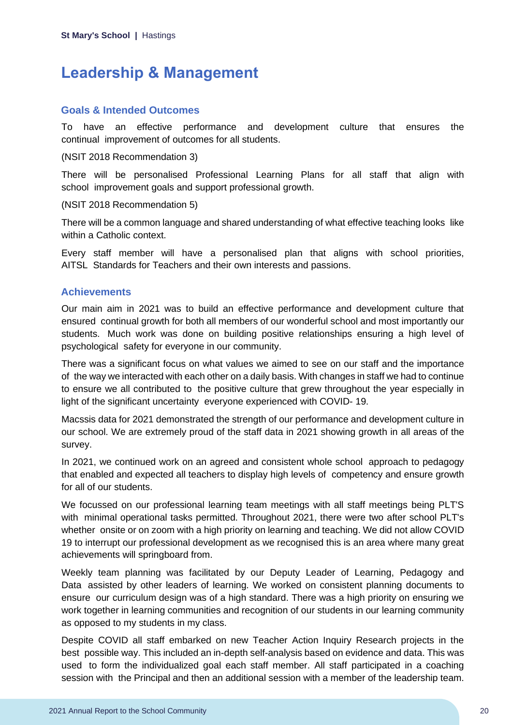## <span id="page-20-0"></span>**Leadership & Management**

## **Goals & Intended Outcomes**

To have an effective performance and development culture that ensures the continual improvement of outcomes for all students.

### (NSIT 2018 Recommendation 3)

There will be personalised Professional Learning Plans for all staff that align with school improvement goals and support professional growth.

### (NSIT 2018 Recommendation 5)

There will be a common language and shared understanding of what effective teaching looks like within a Catholic context.

Every staff member will have a personalised plan that aligns with school priorities, AITSL Standards for Teachers and their own interests and passions.

## **Achievements**

Our main aim in 2021 was to build an effective performance and development culture that ensured continual growth for both all members of our wonderful school and most importantly our students. Much work was done on building positive relationships ensuring a high level of psychological safety for everyone in our community.

There was a significant focus on what values we aimed to see on our staff and the importance of the way we interacted with each other on a daily basis. With changes in staff we had to continue to ensure we all contributed to the positive culture that grew throughout the year especially in light of the significant uncertainty everyone experienced with COVID- 19.

Macssis data for 2021 demonstrated the strength of our performance and development culture in our school. We are extremely proud of the staff data in 2021 showing growth in all areas of the survey.

In 2021, we continued work on an agreed and consistent whole school approach to pedagogy that enabled and expected all teachers to display high levels of competency and ensure growth for all of our students.

We focussed on our professional learning team meetings with all staff meetings being PLT'S with minimal operational tasks permitted. Throughout 2021, there were two after school PLT's whether onsite or on zoom with a high priority on learning and teaching. We did not allow COVID 19 to interrupt our professional development as we recognised this is an area where many great achievements will springboard from.

Weekly team planning was facilitated by our Deputy Leader of Learning, Pedagogy and Data assisted by other leaders of learning. We worked on consistent planning documents to ensure our curriculum design was of a high standard. There was a high priority on ensuring we work together in learning communities and recognition of our students in our learning community as opposed to my students in my class.

Despite COVID all staff embarked on new Teacher Action Inquiry Research projects in the best possible way. This included an in-depth self-analysis based on evidence and data. This was used to form the individualized goal each staff member. All staff participated in a coaching session with the Principal and then an additional session with a member of the leadership team.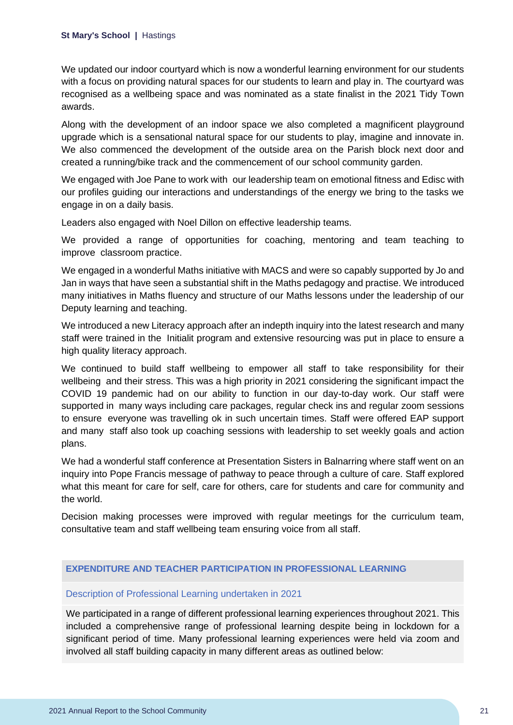We updated our indoor courtyard which is now a wonderful learning environment for our students with a focus on providing natural spaces for our students to learn and play in. The courtyard was recognised as a wellbeing space and was nominated as a state finalist in the 2021 Tidy Town awards.

Along with the development of an indoor space we also completed a magnificent playground upgrade which is a sensational natural space for our students to play, imagine and innovate in. We also commenced the development of the outside area on the Parish block next door and created a running/bike track and the commencement of our school community garden.

We engaged with Joe Pane to work with our leadership team on emotional fitness and Edisc with our profiles guiding our interactions and understandings of the energy we bring to the tasks we engage in on a daily basis.

Leaders also engaged with Noel Dillon on effective leadership teams.

We provided a range of opportunities for coaching, mentoring and team teaching to improve classroom practice.

We engaged in a wonderful Maths initiative with MACS and were so capably supported by Jo and Jan in ways that have seen a substantial shift in the Maths pedagogy and practise. We introduced many initiatives in Maths fluency and structure of our Maths lessons under the leadership of our Deputy learning and teaching.

We introduced a new Literacy approach after an indepth inquiry into the latest research and many staff were trained in the Initialit program and extensive resourcing was put in place to ensure a high quality literacy approach.

We continued to build staff wellbeing to empower all staff to take responsibility for their wellbeing and their stress. This was a high priority in 2021 considering the significant impact the COVID 19 pandemic had on our ability to function in our day-to-day work. Our staff were supported in many ways including care packages, regular check ins and regular zoom sessions to ensure everyone was travelling ok in such uncertain times. Staff were offered EAP support and many staff also took up coaching sessions with leadership to set weekly goals and action plans.

We had a wonderful staff conference at Presentation Sisters in Balnarring where staff went on an inquiry into Pope Francis message of pathway to peace through a culture of care. Staff explored what this meant for care for self, care for others, care for students and care for community and the world.

Decision making processes were improved with regular meetings for the curriculum team, consultative team and staff wellbeing team ensuring voice from all staff.

### **EXPENDITURE AND TEACHER PARTICIPATION IN PROFESSIONAL LEARNING**

#### Description of Professional Learning undertaken in 2021

We participated in a range of different professional learning experiences throughout 2021. This included a comprehensive range of professional learning despite being in lockdown for a significant period of time. Many professional learning experiences were held via zoom and involved all staff building capacity in many different areas as outlined below: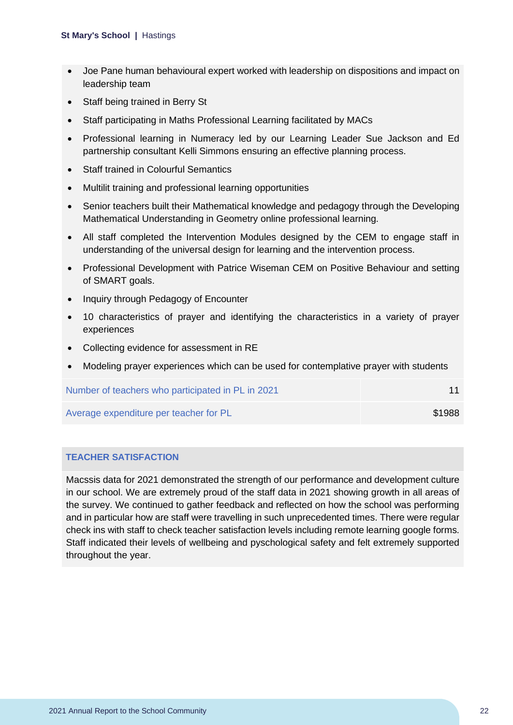- Joe Pane human behavioural expert worked with leadership on dispositions and impact on leadership team
- Staff being trained in Berry St
- Staff participating in Maths Professional Learning facilitated by MACs
- Professional learning in Numeracy led by our Learning Leader Sue Jackson and Ed partnership consultant Kelli Simmons ensuring an effective planning process.
- Staff trained in Colourful Semantics
- Multilit training and professional learning opportunities
- Senior teachers built their Mathematical knowledge and pedagogy through the Developing Mathematical Understanding in Geometry online professional learning.
- All staff completed the Intervention Modules designed by the CEM to engage staff in understanding of the universal design for learning and the intervention process.
- Professional Development with Patrice Wiseman CEM on Positive Behaviour and setting of SMART goals.
- Inquiry through Pedagogy of Encounter
- 10 characteristics of prayer and identifying the characteristics in a variety of prayer experiences
- Collecting evidence for assessment in RE
- Modeling prayer experiences which can be used for contemplative prayer with students

| Number of teachers who participated in PL in 2021 |        |
|---------------------------------------------------|--------|
| Average expenditure per teacher for PL            | \$1988 |

### **TEACHER SATISFACTION**

Macssis data for 2021 demonstrated the strength of our performance and development culture in our school. We are extremely proud of the staff data in 2021 showing growth in all areas of the survey. We continued to gather feedback and reflected on how the school was performing and in particular how are staff were travelling in such unprecedented times. There were regular check ins with staff to check teacher satisfaction levels including remote learning google forms. Staff indicated their levels of wellbeing and pyschological safety and felt extremely supported throughout the year.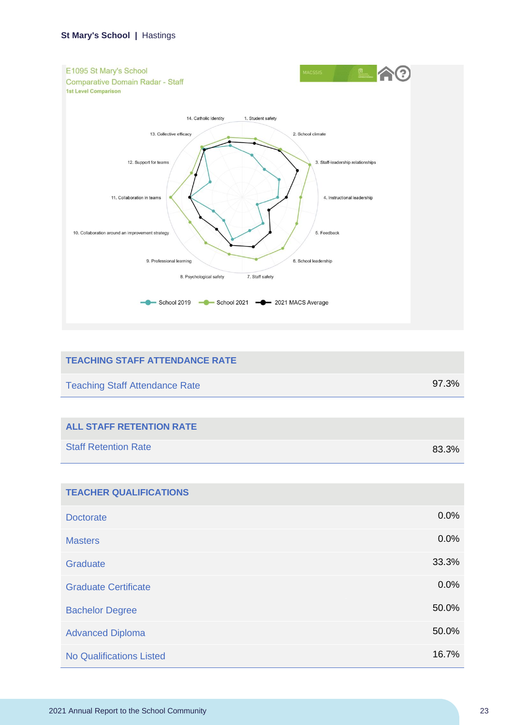

| <b>TEACHING STAFF ATTENDANCE RATE</b> |       |
|---------------------------------------|-------|
| <b>Teaching Staff Attendance Rate</b> | 97.3% |
|                                       |       |
| <b>ALL STAFF RETENTION RATE</b>       |       |
| <b>Staff Retention Rate</b>           | 83.3% |
|                                       |       |
| <b>TEACHER QUALIFICATIONS</b>         |       |
| <b>Doctorate</b>                      | 0.0%  |
| <b>Masters</b>                        | 0.0%  |
| Graduate                              | 33.3% |
| <b>Graduate Certificate</b>           | 0.0%  |
| <b>Bachelor Degree</b>                | 50.0% |
| <b>Advanced Diploma</b>               | 50.0% |
| <b>No Qualifications Listed</b>       | 16.7% |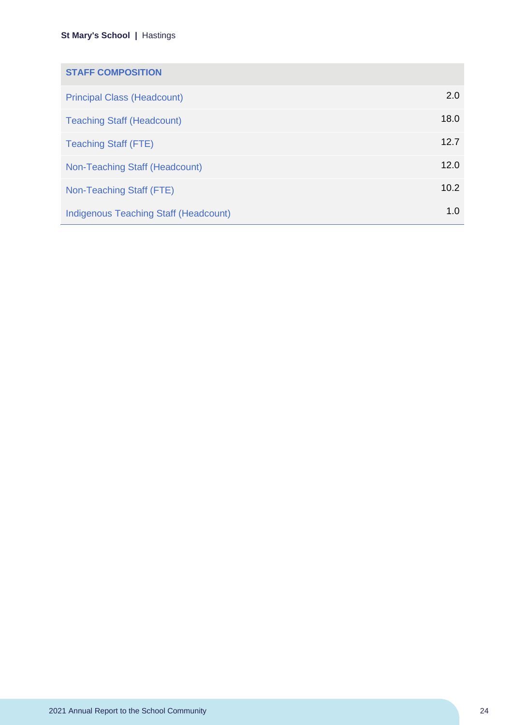| <b>STAFF COMPOSITION</b>                     |      |
|----------------------------------------------|------|
| <b>Principal Class (Headcount)</b>           | 2.0  |
| <b>Teaching Staff (Headcount)</b>            | 18.0 |
| <b>Teaching Staff (FTE)</b>                  | 12.7 |
| Non-Teaching Staff (Headcount)               | 12.0 |
| Non-Teaching Staff (FTE)                     | 10.2 |
| <b>Indigenous Teaching Staff (Headcount)</b> | 1.0  |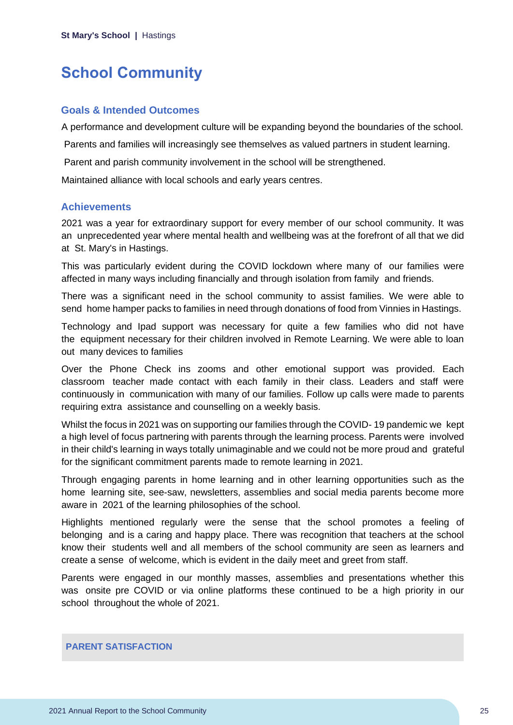## <span id="page-25-0"></span>**School Community**

### **Goals & Intended Outcomes**

A performance and development culture will be expanding beyond the boundaries of the school.

Parents and families will increasingly see themselves as valued partners in student learning.

Parent and parish community involvement in the school will be strengthened.

Maintained alliance with local schools and early years centres.

### **Achievements**

2021 was a year for extraordinary support for every member of our school community. It was an unprecedented year where mental health and wellbeing was at the forefront of all that we did at St. Mary's in Hastings.

This was particularly evident during the COVID lockdown where many of our families were affected in many ways including financially and through isolation from family and friends.

There was a significant need in the school community to assist families. We were able to send home hamper packs to families in need through donations of food from Vinnies in Hastings.

Technology and Ipad support was necessary for quite a few families who did not have the equipment necessary for their children involved in Remote Learning. We were able to loan out many devices to families

Over the Phone Check ins zooms and other emotional support was provided. Each classroom teacher made contact with each family in their class. Leaders and staff were continuously in communication with many of our families. Follow up calls were made to parents requiring extra assistance and counselling on a weekly basis.

Whilst the focus in 2021 was on supporting our families through the COVID- 19 pandemic we kept a high level of focus partnering with parents through the learning process. Parents were involved in their child's learning in ways totally unimaginable and we could not be more proud and grateful for the significant commitment parents made to remote learning in 2021.

Through engaging parents in home learning and in other learning opportunities such as the home learning site, see-saw, newsletters, assemblies and social media parents become more aware in 2021 of the learning philosophies of the school.

Highlights mentioned regularly were the sense that the school promotes a feeling of belonging and is a caring and happy place. There was recognition that teachers at the school know their students well and all members of the school community are seen as learners and create a sense of welcome, which is evident in the daily meet and greet from staff.

Parents were engaged in our monthly masses, assemblies and presentations whether this was onsite pre COVID or via online platforms these continued to be a high priority in our school throughout the whole of 2021.

## **PARENT SATISFACTION**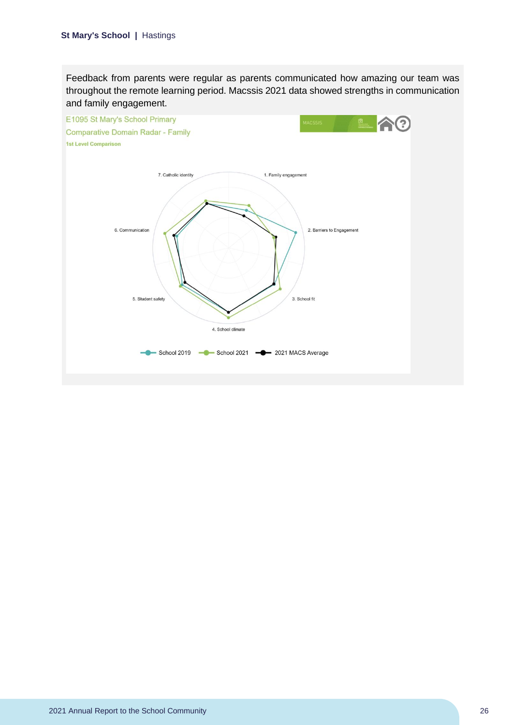Feedback from parents were regular as parents communicated how amazing our team was throughout the remote learning period. Macssis 2021 data showed strengths in communication and family engagement.